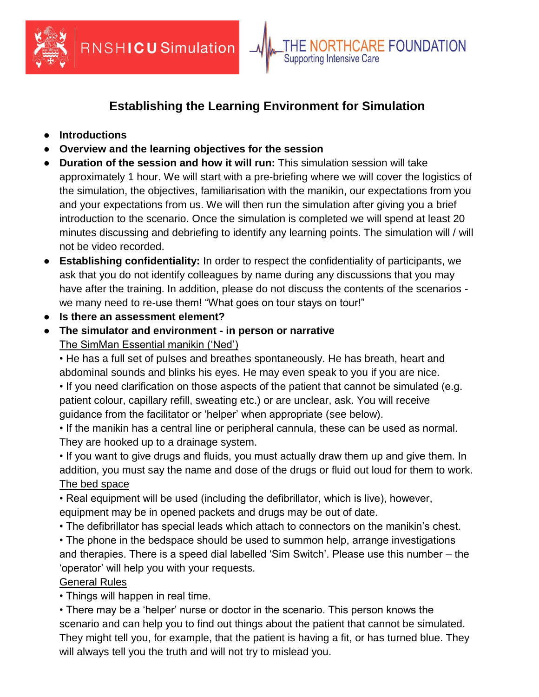

## **Establishing the Learning Environment for Simulation**

**Supporting Intensive Care** 

**RTHCARE FOUNDATION** 

 $\overline{\phantom{a}}$ 

- **Introductions**
- **Overview and the learning objectives for the session**
- **Duration of the session and how it will run:** This simulation session will take approximately 1 hour. We will start with a pre-briefing where we will cover the logistics of the simulation, the objectives, familiarisation with the manikin, our expectations from you and your expectations from us. We will then run the simulation after giving you a brief introduction to the scenario. Once the simulation is completed we will spend at least 20 minutes discussing and debriefing to identify any learning points. The simulation will / will not be video recorded.
- **Establishing confidentiality:** In order to respect the confidentiality of participants, we ask that you do not identify colleagues by name during any discussions that you may have after the training. In addition, please do not discuss the contents of the scenarios we many need to re-use them! "What goes on tour stays on tour!"
- **Is there an assessment element?**
- **The simulator and environment - in person or narrative** The SimMan Essential manikin ('Ned')

• He has a full set of pulses and breathes spontaneously. He has breath, heart and abdominal sounds and blinks his eyes. He may even speak to you if you are nice.

• If you need clarification on those aspects of the patient that cannot be simulated (e.g. patient colour, capillary refill, sweating etc.) or are unclear, ask. You will receive guidance from the facilitator or 'helper' when appropriate (see below).

• If the manikin has a central line or peripheral cannula, these can be used as normal. They are hooked up to a drainage system.

• If you want to give drugs and fluids, you must actually draw them up and give them. In addition, you must say the name and dose of the drugs or fluid out loud for them to work. The bed space

• Real equipment will be used (including the defibrillator, which is live), however, equipment may be in opened packets and drugs may be out of date.

• The defibrillator has special leads which attach to connectors on the manikin's chest.

• The phone in the bedspace should be used to summon help, arrange investigations and therapies. There is a speed dial labelled 'Sim Switch'. Please use this number – the 'operator' will help you with your requests.

## General Rules

• Things will happen in real time.

• There may be a 'helper' nurse or doctor in the scenario. This person knows the scenario and can help you to find out things about the patient that cannot be simulated. They might tell you, for example, that the patient is having a fit, or has turned blue. They will always tell you the truth and will not try to mislead you.